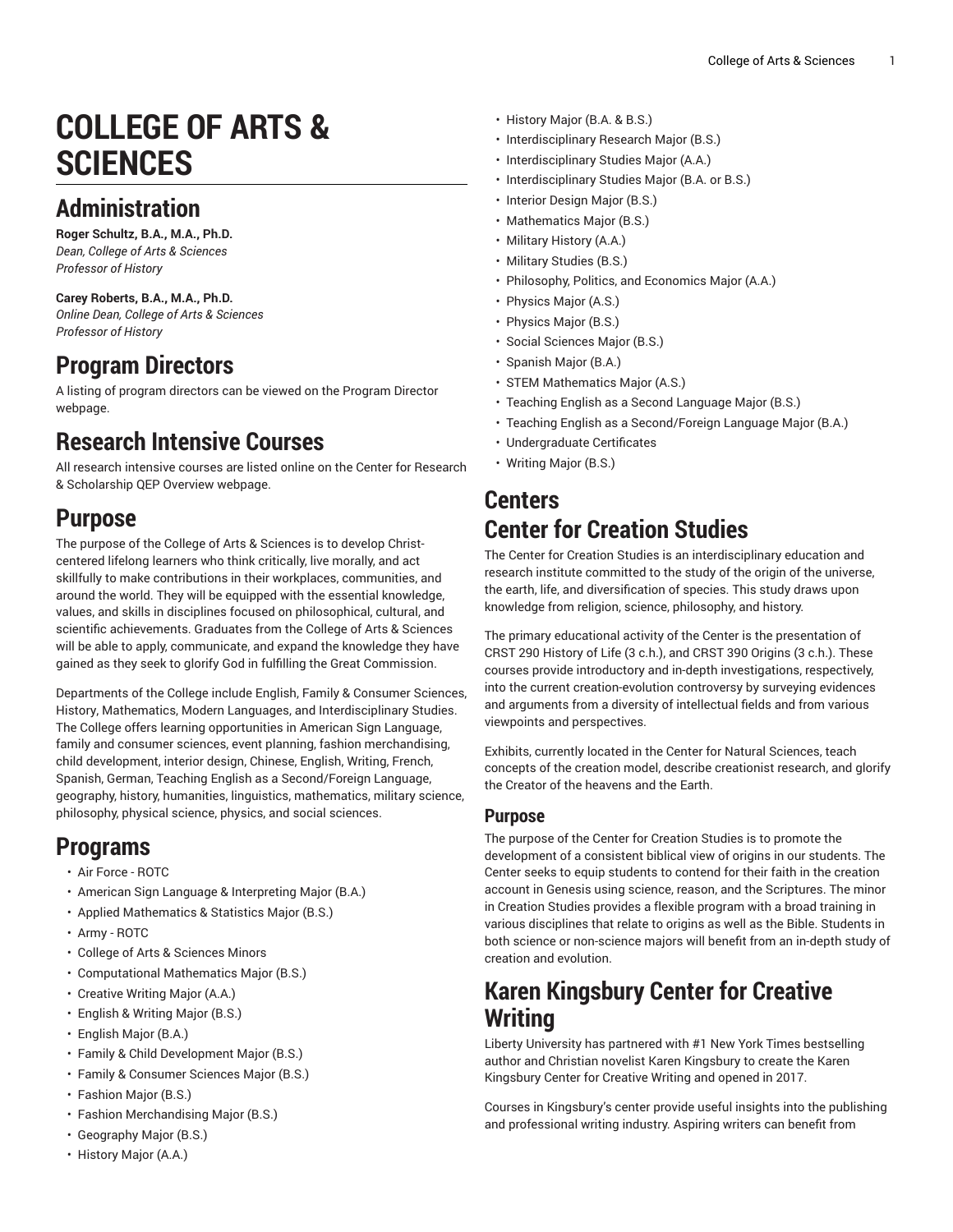# **COLLEGE OF ARTS & SCIENCES**

# **Administration**

**Roger Schultz, B.A., M.A., Ph.D.** *Dean, College of Arts & Sciences Professor of History*

**Carey Roberts, B.A., M.A., Ph.D.** *Online Dean, College of Arts & Sciences Professor of History*

### **Program Directors**

A listing of program directors can be viewed on the [Program](https://www.liberty.edu/institutional-effectiveness/academic-program-directors/) Director webpage.

## **Research Intensive Courses**

All research intensive courses are listed online on the Center for Research & Scholarship QEP [Overview](https://www.liberty.edu/center-for-research-scholarship/qep-overview/) webpage.

#### **Purpose**

The purpose of the College of Arts & [Sciences](https://www.liberty.edu/arts-sciences/) is to develop Christcentered lifelong learners who think critically, live morally, and act skillfully to make contributions in their workplaces, communities, and around the world. They will be equipped with the essential knowledge, values, and skills in disciplines focused on philosophical, cultural, and scientific achievements. Graduates from the College of Arts & [Sciences](https://www.liberty.edu/arts-sciences/) will be able to apply, communicate, and expand the knowledge they have gained as they seek to glorify God in fulfilling the Great Commission.

Departments of the College include [English,](https://www.liberty.edu/arts-sciences/english/) Family & [Consumer](https://www.liberty.edu/arts-sciences/family-consumer-sciences/) Sciences, [History](https://www.liberty.edu/arts-sciences/history/), [Mathematics](https://www.liberty.edu/arts-sciences/mathematics/), [Modern Languages,](https://www.liberty.edu/arts-sciences/modern-languages/) and [Interdisciplinary](https://www.liberty.edu/arts-sciences/interdisciplinary-studies/) Studies. The College offers learning opportunities in American Sign Language, family and consumer sciences, event planning, fashion merchandising, child development, interior design, Chinese, English, Writing, French, Spanish, German, Teaching English as a Second/Foreign Language, geography, history, humanities, linguistics, mathematics, military science, philosophy, physical science, physics, and social sciences.

#### **Programs**

- Air Force [ROTC](https://catalog.liberty.edu/undergraduate/colleges-schools/arts-sciences/air-force-rotc/)
- American Sign Language & [Interpreting](https://catalog.liberty.edu/undergraduate/colleges-schools/arts-sciences/american-sign-language-interpreting-major-ba/) Major (B.A.)
- [Applied Mathematics & Statistics Major \(B.S.\)](https://catalog.liberty.edu/undergraduate/colleges-schools/arts-sciences/applied-mathematics-statistics-major-bs/)
- Army [ROTC](https://catalog.liberty.edu/undergraduate/colleges-schools/arts-sciences/army-rotc/)
- College of Arts & [Sciences](https://catalog.liberty.edu/undergraduate/colleges-schools/arts-sciences/minors/) Minors
- [Computational Mathematics Major \(B.S.\)](https://catalog.liberty.edu/undergraduate/colleges-schools/arts-sciences/computational-mathematics-major-bs/)
- [Creative](https://catalog.liberty.edu/undergraduate/colleges-schools/arts-sciences/creative-writing-major-aa/) Writing Major (A.A.)
- [English](https://catalog.liberty.edu/undergraduate/colleges-schools/arts-sciences/english-writing-major-bs/) & Writing Major (B.S.)
- [English Major \(B.A.\)](https://catalog.liberty.edu/undergraduate/colleges-schools/arts-sciences/english-major-ba/)
- Family & Child [Development](https://catalog.liberty.edu/undergraduate/colleges-schools/arts-sciences/family-child-development-major-bs/) Major (B.S.)
- Family & [Consumer](https://catalog.liberty.edu/undergraduate/colleges-schools/arts-sciences/family-consumer-sciences-major-bs/) Sciences Major (B.S.)
- [Fashion](https://catalog.liberty.edu/undergraduate/colleges-schools/arts-sciences/fashion-major-bs/) Major (B.S.)
- Fashion [Merchandising](https://catalog.liberty.edu/undergraduate/colleges-schools/arts-sciences/fashion-merchandising-major-bs/) Major (B.S.)
- [Geography Major \(B.S.\)](https://catalog.liberty.edu/undergraduate/colleges-schools/arts-sciences/geography-major-bs/)
- [History](https://catalog.liberty.edu/undergraduate/colleges-schools/arts-sciences/history-major-aa/) Major (A.A.)
- [History](https://catalog.liberty.edu/undergraduate/colleges-schools/arts-sciences/history-ba-bs/) Major (B.A. & B.S.)
- [Interdisciplinary](https://catalog.liberty.edu/undergraduate/colleges-schools/arts-sciences/interdisciplinary-research-major-bs/) Research Major (B.S.)
- [Interdisciplinary](https://catalog.liberty.edu/undergraduate/colleges-schools/arts-sciences/interdisciplinary-studies-major-aa/) Studies Major (A.A.)
- [Interdisciplinary](https://catalog.liberty.edu/undergraduate/colleges-schools/arts-sciences/interdisciplinary-studies-major-ba-bs/) Studies Major (B.A. or B.S.)
- [Interior Design Major \(B.S.\)](https://catalog.liberty.edu/undergraduate/colleges-schools/arts-sciences/interior-design-major-bs/)
- [Mathematics Major \(B.S.\)](https://catalog.liberty.edu/undergraduate/colleges-schools/arts-sciences/mathematics-major-bs/)
- [Military](https://catalog.liberty.edu/undergraduate/colleges-schools/arts-sciences/military-history-aa/) History (A.A.)
- Military [Studies](https://catalog.liberty.edu/undergraduate/colleges-schools/arts-sciences/military-studies-bs/) (B.S.)
- [Philosophy,](https://catalog.liberty.edu/undergraduate/colleges-schools/arts-sciences/philosophy-politics-economics-major-aa/) Politics, and Economics Major (A.A.)
- [Physics Major \(A.S.\)](https://catalog.liberty.edu/undergraduate/colleges-schools/arts-sciences/physics-major-as/)
- [Physics Major \(B.S.\)](https://catalog.liberty.edu/undergraduate/colleges-schools/arts-sciences/physics-major-bs/)
- [Social Sciences Major \(B.S.\)](https://catalog.liberty.edu/undergraduate/colleges-schools/arts-sciences/social-sciences-major-bs/)
- [Spanish Major \(B.A.\)](https://catalog.liberty.edu/undergraduate/colleges-schools/arts-sciences/spanish-major-ba/)
- [STEM Mathematics Major \(A.S.\)](https://catalog.liberty.edu/undergraduate/colleges-schools/arts-sciences/stem-mathematics-major-as/)
- Teaching English as a Second [Language](https://catalog.liberty.edu/undergraduate/colleges-schools/arts-sciences/teaching-english-second-language-major-bs/) Major (B.S.)
- Teaching English as a [Second/Foreign](https://catalog.liberty.edu/undergraduate/colleges-schools/arts-sciences/teaching-english-second-foreign-language-major-ba/) Language Major (B.A.)
- [Undergraduate](https://catalog.liberty.edu/undergraduate/colleges-schools/arts-sciences/undergraduate-certificates/) Certificates
- [Writing](https://catalog.liberty.edu/undergraduate/colleges-schools/arts-sciences/writing-major-bs/) Major (B.S.)

#### **Centers Center for Creation Studies**

The Center for Creation Studies is an interdisciplinary education and research institute committed to the study of the origin of the universe, the earth, life, and diversification of species. This study draws upon knowledge from religion, science, philosophy, and history.

The primary educational activity of the Center is the presentation of CRST 290 History of Life (3 c.h.), and CRST 390 Origins (3 c.h.). These courses provide introductory and in-depth investigations, respectively, into the current creation-evolution controversy by surveying evidences and arguments from a diversity of intellectual fields and from various viewpoints and perspectives.

Exhibits, currently located in the Center for Natural Sciences, teach concepts of the creation model, describe creationist research, and glorify the Creator of the heavens and the Earth.

#### **Purpose**

The purpose of the Center for Creation Studies is to promote the development of a consistent biblical view of origins in our students. The Center seeks to equip students to contend for their faith in the creation account in Genesis using science, reason, and the Scriptures. The minor in Creation Studies provides a flexible program with a broad training in various disciplines that relate to origins as well as the Bible. Students in both science or non-science majors will benefit from an in-depth study of creation and evolution.

#### **Karen Kingsbury Center for Creative Writing**

Liberty University has partnered with #1 New York Times bestselling author and Christian novelist Karen Kingsbury to create the [Karen](https://www.liberty.edu/online/kingsbury-center-for-creative-writing/) [Kingsbury](https://www.liberty.edu/online/kingsbury-center-for-creative-writing/) Center for Creative Writing and opened in 2017.

Courses in Kingsbury's center provide useful insights into the publishing and professional writing industry. Aspiring writers can benefit from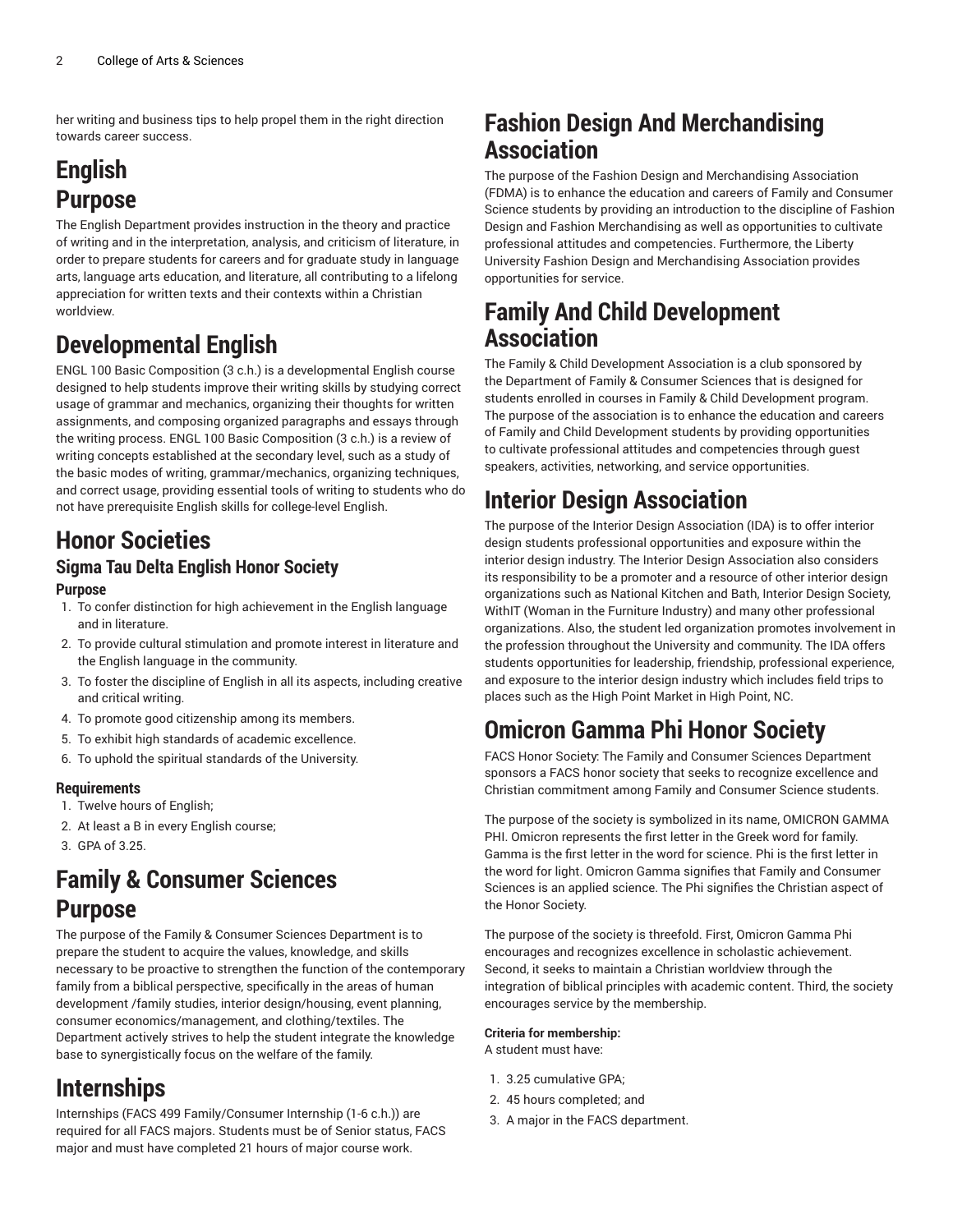her writing and business tips to help propel them in the right direction towards career success.

## **English Purpose**

The English Department provides instruction in the theory and practice of writing and in the interpretation, analysis, and criticism of literature, in order to prepare students for careers and for graduate study in language arts, language arts education, and literature, all contributing to a lifelong appreciation for written texts and their contexts within a Christian worldview.

# **Developmental English**

ENGL 100 Basic Composition (3 c.h.) is a developmental English course designed to help students improve their writing skills by studying correct usage of grammar and mechanics, organizing their thoughts for written assignments, and composing organized paragraphs and essays through the writing process. ENGL 100 Basic Composition (3 c.h.) is a review of writing concepts established at the secondary level, such as a study of the basic modes of writing, grammar/mechanics, organizing techniques, and correct usage, providing essential tools of writing to students who do not have prerequisite English skills for college-level English.

# **Honor Societies**

#### **Sigma Tau Delta English Honor Society Purpose**

- 1. To confer distinction for high achievement in the English language and in literature.
- 2. To provide cultural stimulation and promote interest in literature and the English language in the community.
- 3. To foster the discipline of English in all its aspects, including creative and critical writing.
- 4. To promote good citizenship among its members.
- 5. To exhibit high standards of academic excellence.
- 6. To uphold the spiritual standards of the University.

#### **Requirements**

- 1. Twelve hours of English;
- 2. At least a B in every English course;
- 3. GPA of 3.25.

### **Family & Consumer Sciences Purpose**

The purpose of the Family & Consumer Sciences Department is to prepare the student to acquire the values, knowledge, and skills necessary to be proactive to strengthen the function of the contemporary family from a biblical perspective, specifically in the areas of human development /family studies, interior design/housing, event planning, consumer economics/management, and clothing/textiles. The Department actively strives to help the student integrate the knowledge base to synergistically focus on the welfare of the family.

#### **Internships**

Internships (FACS 499 Family/Consumer Internship (1-6 c.h.)) are required for all FACS majors. Students must be of Senior status, FACS major and must have completed 21 hours of major course work.

#### **Fashion Design And Merchandising Association**

The purpose of the Fashion Design and Merchandising Association (FDMA) is to enhance the education and careers of Family and Consumer Science students by providing an introduction to the discipline of Fashion Design and Fashion Merchandising as well as opportunities to cultivate professional attitudes and competencies. Furthermore, the Liberty University Fashion Design and Merchandising Association provides opportunities for service.

#### **Family And Child Development Association**

The Family & Child Development Association is a club sponsored by the Department of Family & Consumer Sciences that is designed for students enrolled in courses in Family & Child Development program. The purpose of the association is to enhance the education and careers of Family and Child Development students by providing opportunities to cultivate professional attitudes and competencies through guest speakers, activities, networking, and service opportunities.

### **Interior Design Association**

The purpose of the Interior Design Association (IDA) is to offer interior design students professional opportunities and exposure within the interior design industry. The Interior Design Association also considers its responsibility to be a promoter and a resource of other interior design organizations such as National Kitchen and Bath, Interior Design Society, WithIT (Woman in the Furniture Industry) and many other professional organizations. Also, the student led organization promotes involvement in the profession throughout the University and community. The IDA offers students opportunities for leadership, friendship, professional experience, and exposure to the interior design industry which includes field trips to places such as the High Point Market in High Point, NC.

### **Omicron Gamma Phi Honor Society**

FACS Honor Society: The Family and Consumer Sciences Department sponsors a FACS honor society that seeks to recognize excellence and Christian commitment among Family and Consumer Science students.

The purpose of the society is symbolized in its name, OMICRON GAMMA PHI. Omicron represents the first letter in the Greek word for family. Gamma is the first letter in the word for science. Phi is the first letter in the word for light. Omicron Gamma signifies that Family and Consumer Sciences is an applied science. The Phi signifies the Christian aspect of the Honor Society.

The purpose of the society is threefold. First, Omicron Gamma Phi encourages and recognizes excellence in scholastic achievement. Second, it seeks to maintain a Christian worldview through the integration of biblical principles with academic content. Third, the society encourages service by the membership.

#### **Criteria for membership:**

A student must have:

- 1. 3.25 cumulative GPA;
- 2. 45 hours completed; and
- 3. A major in the FACS department.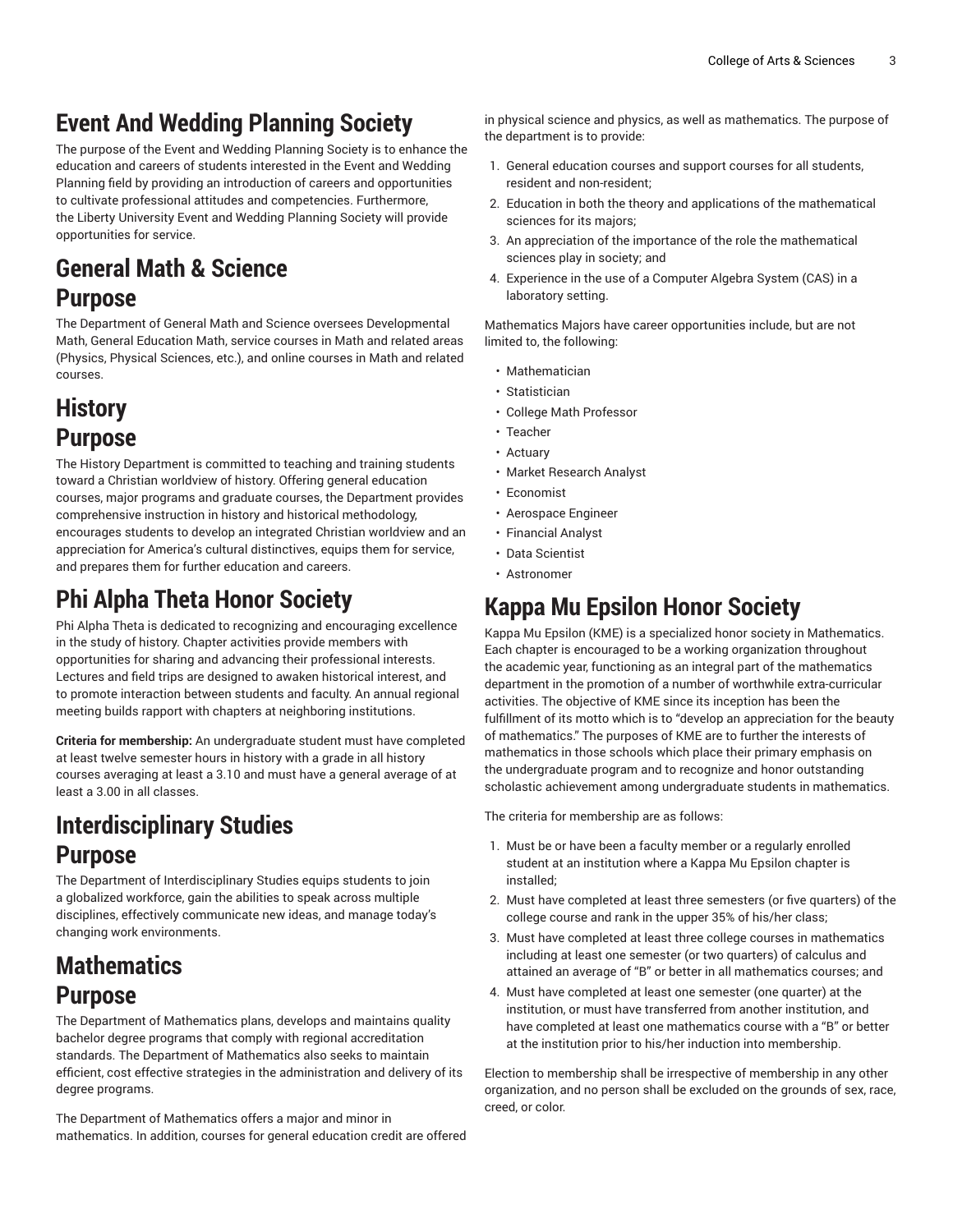# **Event And Wedding Planning Society**

The purpose of the Event and Wedding Planning Society is to enhance the education and careers of students interested in the Event and Wedding Planning field by providing an introduction of careers and opportunities to cultivate professional attitudes and competencies. Furthermore, the Liberty University Event and Wedding Planning Society will provide opportunities for service.

### **General Math & Science Purpose**

The Department of General Math and Science oversees Developmental Math, General Education Math, service courses in Math and related areas (Physics, Physical Sciences, etc.), and online courses in Math and related courses.

## **History Purpose**

The History Department is committed to teaching and training students toward a Christian worldview of history. Offering general education courses, major programs and graduate courses, the Department provides comprehensive instruction in history and historical methodology, encourages students to develop an integrated Christian worldview and an appreciation for America's cultural distinctives, equips them for service, and prepares them for further education and careers.

# **Phi Alpha Theta Honor Society**

Phi Alpha Theta is dedicated to recognizing and encouraging excellence in the study of history. Chapter activities provide members with opportunities for sharing and advancing their professional interests. Lectures and field trips are designed to awaken historical interest, and to promote interaction between students and faculty. An annual regional meeting builds rapport with chapters at neighboring institutions.

**Criteria for membership:** An undergraduate student must have completed at least twelve semester hours in history with a grade in all history courses averaging at least a 3.10 and must have a general average of at least a 3.00 in all classes.

# **Interdisciplinary Studies Purpose**

The Department of Interdisciplinary Studies equips students to join a globalized workforce, gain the abilities to speak across multiple disciplines, effectively communicate new ideas, and manage today's changing work environments.

### **Mathematics Purpose**

The Department of Mathematics plans, develops and maintains quality bachelor degree programs that comply with regional accreditation standards. The Department of Mathematics also seeks to maintain efficient, cost effective strategies in the administration and delivery of its degree programs.

The Department of Mathematics offers a major and minor in mathematics. In addition, courses for general education credit are offered

in physical science and physics, as well as mathematics. The purpose of the department is to provide:

- 1. General education courses and support courses for all students, resident and non-resident;
- 2. Education in both the theory and applications of the mathematical sciences for its majors;
- 3. An appreciation of the importance of the role the mathematical sciences play in society; and
- 4. Experience in the use of a Computer Algebra System (CAS) in a laboratory setting.

Mathematics Majors have career opportunities include, but are not limited to, the following:

- Mathematician
- Statistician
- College Math Professor
- Teacher
- Actuary
- Market Research Analyst
- Economist
- Aerospace Engineer
- Financial Analyst
- Data Scientist
- Astronomer

## **Kappa Mu Epsilon Honor Society**

Kappa Mu Epsilon (KME) is a specialized honor society in Mathematics. Each chapter is encouraged to be a working organization throughout the academic year, functioning as an integral part of the mathematics department in the promotion of a number of worthwhile extra-curricular activities. The objective of KME since its inception has been the fulfillment of its motto which is to "develop an appreciation for the beauty of mathematics." The purposes of KME are to further the interests of mathematics in those schools which place their primary emphasis on the undergraduate program and to recognize and honor outstanding scholastic achievement among undergraduate students in mathematics.

The criteria for membership are as follows:

- 1. Must be or have been a faculty member or a regularly enrolled student at an institution where a Kappa Mu Epsilon chapter is installed;
- 2. Must have completed at least three semesters (or five quarters) of the college course and rank in the upper 35% of his/her class;
- 3. Must have completed at least three college courses in mathematics including at least one semester (or two quarters) of calculus and attained an average of "B" or better in all mathematics courses; and
- 4. Must have completed at least one semester (one quarter) at the institution, or must have transferred from another institution, and have completed at least one mathematics course with a "B" or better at the institution prior to his/her induction into membership.

Election to membership shall be irrespective of membership in any other organization, and no person shall be excluded on the grounds of sex, race, creed, or color.